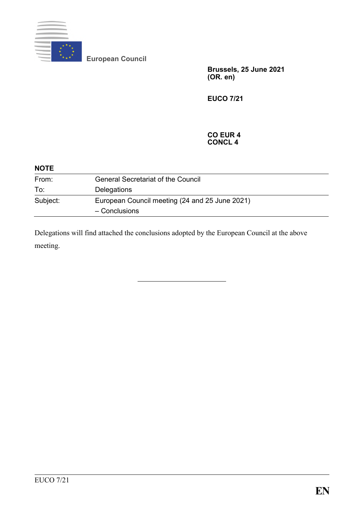

**European Council**

**Brussels, 25 June 2021 (OR. en)**

**EUCO 7/21**

#### **CO EUR 4 CONCL 4**

| <b>NOTE</b> |                                                                 |  |
|-------------|-----------------------------------------------------------------|--|
| From:       | <b>General Secretariat of the Council</b>                       |  |
| To:         | Delegations                                                     |  |
| Subject:    | European Council meeting (24 and 25 June 2021)<br>- Conclusions |  |

Delegations will find attached the conclusions adopted by the European Council at the above meeting.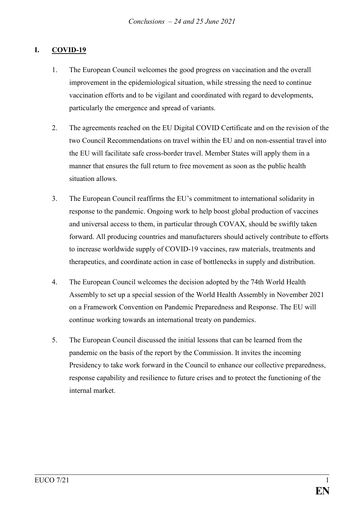## **I. COVID-19**

- 1. The European Council welcomes the good progress on vaccination and the overall improvement in the epidemiological situation, while stressing the need to continue vaccination efforts and to be vigilant and coordinated with regard to developments, particularly the emergence and spread of variants.
- 2. The agreements reached on the EU Digital COVID Certificate and on the revision of the two Council Recommendations on travel within the EU and on non-essential travel into the EU will facilitate safe cross-border travel. Member States will apply them in a manner that ensures the full return to free movement as soon as the public health situation allows.
- 3. The European Council reaffirms the EU's commitment to international solidarity in response to the pandemic. Ongoing work to help boost global production of vaccines and universal access to them, in particular through COVAX, should be swiftly taken forward. All producing countries and manufacturers should actively contribute to efforts to increase worldwide supply of COVID-19 vaccines, raw materials, treatments and therapeutics, and coordinate action in case of bottlenecks in supply and distribution.
- 4. The European Council welcomes the decision adopted by the 74th World Health Assembly to set up a special session of the World Health Assembly in November 2021 on a Framework Convention on Pandemic Preparedness and Response. The EU will continue working towards an international treaty on pandemics.
- 5. The European Council discussed the initial lessons that can be learned from the pandemic on the basis of the report by the Commission. It invites the incoming Presidency to take work forward in the Council to enhance our collective preparedness, response capability and resilience to future crises and to protect the functioning of the internal market.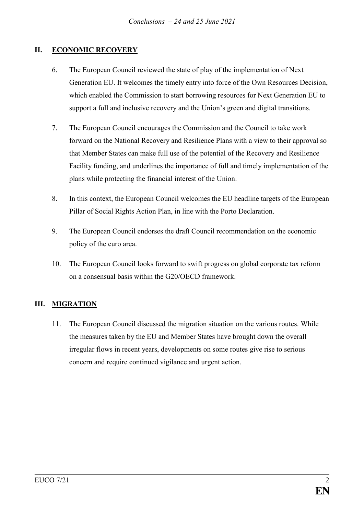# **II. ECONOMIC RECOVERY**

- 6. The European Council reviewed the state of play of the implementation of Next Generation EU. It welcomes the timely entry into force of the Own Resources Decision, which enabled the Commission to start borrowing resources for Next Generation EU to support a full and inclusive recovery and the Union's green and digital transitions.
- 7. The European Council encourages the Commission and the Council to take work forward on the National Recovery and Resilience Plans with a view to their approval so that Member States can make full use of the potential of the Recovery and Resilience Facility funding, and underlines the importance of full and timely implementation of the plans while protecting the financial interest of the Union.
- 8. In this context, the European Council welcomes the EU headline targets of the European Pillar of Social Rights Action Plan, in line with the Porto Declaration.
- 9. The European Council endorses the draft Council recommendation on the economic policy of the euro area.
- 10. The European Council looks forward to swift progress on global corporate tax reform on a consensual basis within the G20/OECD framework.

### **III. MIGRATION**

11. The European Council discussed the migration situation on the various routes. While the measures taken by the EU and Member States have brought down the overall irregular flows in recent years, developments on some routes give rise to serious concern and require continued vigilance and urgent action.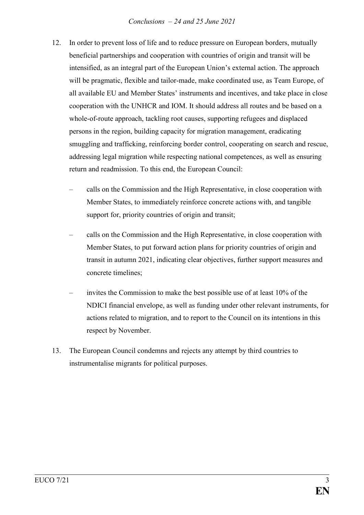- 12. In order to prevent loss of life and to reduce pressure on European borders, mutually beneficial partnerships and cooperation with countries of origin and transit will be intensified, as an integral part of the European Union's external action. The approach will be pragmatic, flexible and tailor-made, make coordinated use, as Team Europe, of all available EU and Member States' instruments and incentives, and take place in close cooperation with the UNHCR and IOM. It should address all routes and be based on a whole-of-route approach, tackling root causes, supporting refugees and displaced persons in the region, building capacity for migration management, eradicating smuggling and trafficking, reinforcing border control, cooperating on search and rescue, addressing legal migration while respecting national competences, as well as ensuring return and readmission. To this end, the European Council:
	- calls on the Commission and the High Representative, in close cooperation with Member States, to immediately reinforce concrete actions with, and tangible support for, priority countries of origin and transit;
	- calls on the Commission and the High Representative, in close cooperation with Member States, to put forward action plans for priority countries of origin and transit in autumn 2021, indicating clear objectives, further support measures and concrete timelines;
	- invites the Commission to make the best possible use of at least 10% of the NDICI financial envelope, as well as funding under other relevant instruments, for actions related to migration, and to report to the Council on its intentions in this respect by November.
- 13. The European Council condemns and rejects any attempt by third countries to instrumentalise migrants for political purposes.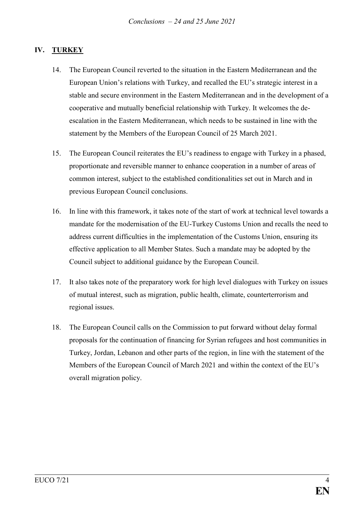# **IV. TURKEY**

- 14. The European Council reverted to the situation in the Eastern Mediterranean and the European Union's relations with Turkey, and recalled the EU's strategic interest in a stable and secure environment in the Eastern Mediterranean and in the development of a cooperative and mutually beneficial relationship with Turkey. It welcomes the deescalation in the Eastern Mediterranean, which needs to be sustained in line with the statement by the Members of the European Council of 25 March 2021.
- 15. The European Council reiterates the EU's readiness to engage with Turkey in a phased, proportionate and reversible manner to enhance cooperation in a number of areas of common interest, subject to the established conditionalities set out in March and in previous European Council conclusions.
- 16. In line with this framework, it takes note of the start of work at technical level towards a mandate for the modernisation of the EU-Turkey Customs Union and recalls the need to address current difficulties in the implementation of the Customs Union, ensuring its effective application to all Member States. Such a mandate may be adopted by the Council subject to additional guidance by the European Council.
- 17. It also takes note of the preparatory work for high level dialogues with Turkey on issues of mutual interest, such as migration, public health, climate, counterterrorism and regional issues.
- 18. The European Council calls on the Commission to put forward without delay formal proposals for the continuation of financing for Syrian refugees and host communities in Turkey, Jordan, Lebanon and other parts of the region, in line with the statement of the Members of the European Council of March 2021 and within the context of the EU's overall migration policy.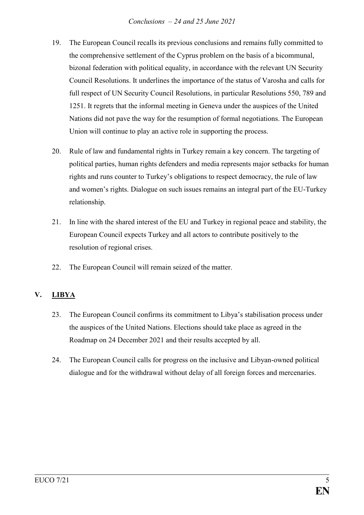- 19. The European Council recalls its previous conclusions and remains fully committed to the comprehensive settlement of the Cyprus problem on the basis of a bicommunal, bizonal federation with political equality, in accordance with the relevant UN Security Council Resolutions. It underlines the importance of the status of Varosha and calls for full respect of UN Security Council Resolutions, in particular Resolutions 550, 789 and 1251. It regrets that the informal meeting in Geneva under the auspices of the United Nations did not pave the way for the resumption of formal negotiations. The European Union will continue to play an active role in supporting the process.
- 20. Rule of law and fundamental rights in Turkey remain a key concern. The targeting of political parties, human rights defenders and media represents major setbacks for human rights and runs counter to Turkey's obligations to respect democracy, the rule of law and women's rights. Dialogue on such issues remains an integral part of the EU-Turkey relationship.
- 21. In line with the shared interest of the EU and Turkey in regional peace and stability, the European Council expects Turkey and all actors to contribute positively to the resolution of regional crises.
- 22. The European Council will remain seized of the matter.

# **V. LIBYA**

- 23. The European Council confirms its commitment to Libya's stabilisation process under the auspices of the United Nations. Elections should take place as agreed in the Roadmap on 24 December 2021 and their results accepted by all.
- 24. The European Council calls for progress on the inclusive and Libyan-owned political dialogue and for the withdrawal without delay of all foreign forces and mercenaries.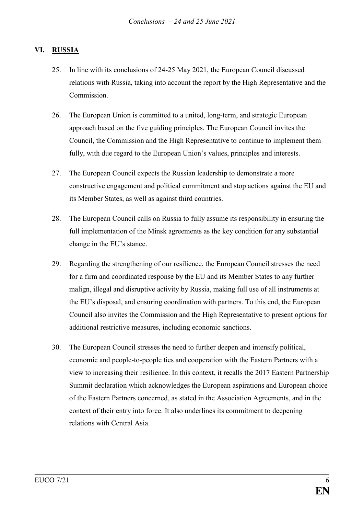### **VI. RUSSIA**

- 25. In line with its conclusions of 24-25 May 2021, the European Council discussed relations with Russia, taking into account the report by the High Representative and the Commission.
- 26. The European Union is committed to a united, long-term, and strategic European approach based on the five guiding principles. The European Council invites the Council, the Commission and the High Representative to continue to implement them fully, with due regard to the European Union's values, principles and interests.
- 27. The European Council expects the Russian leadership to demonstrate a more constructive engagement and political commitment and stop actions against the EU and its Member States, as well as against third countries.
- 28. The European Council calls on Russia to fully assume its responsibility in ensuring the full implementation of the Minsk agreements as the key condition for any substantial change in the EU's stance.
- 29. Regarding the strengthening of our resilience, the European Council stresses the need for a firm and coordinated response by the EU and its Member States to any further malign, illegal and disruptive activity by Russia, making full use of all instruments at the EU's disposal, and ensuring coordination with partners. To this end, the European Council also invites the Commission and the High Representative to present options for additional restrictive measures, including economic sanctions.
- 30. The European Council stresses the need to further deepen and intensify political, economic and people-to-people ties and cooperation with the Eastern Partners with a view to increasing their resilience. In this context, it recalls the 2017 Eastern Partnership Summit declaration which acknowledges the European aspirations and European choice of the Eastern Partners concerned, as stated in the Association Agreements, and in the context of their entry into force. It also underlines its commitment to deepening relations with Central Asia.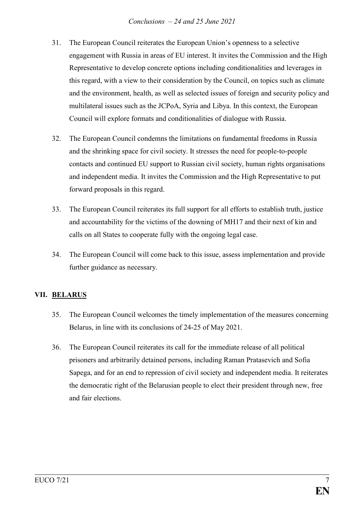- 31. The European Council reiterates the European Union's openness to a selective engagement with Russia in areas of EU interest. It invites the Commission and the High Representative to develop concrete options including conditionalities and leverages in this regard, with a view to their consideration by the Council, on topics such as climate and the environment, health, as well as selected issues of foreign and security policy and multilateral issues such as the JCPoA, Syria and Libya. In this context, the European Council will explore formats and conditionalities of dialogue with Russia.
- 32. The European Council condemns the limitations on fundamental freedoms in Russia and the shrinking space for civil society. It stresses the need for people-to-people contacts and continued EU support to Russian civil society, human rights organisations and independent media. It invites the Commission and the High Representative to put forward proposals in this regard.
- 33. The European Council reiterates its full support for all efforts to establish truth, justice and accountability for the victims of the downing of MH17 and their next of kin and calls on all States to cooperate fully with the ongoing legal case.
- 34. The European Council will come back to this issue, assess implementation and provide further guidance as necessary.

### **VII. BELARUS**

- 35. The European Council welcomes the timely implementation of the measures concerning Belarus, in line with its conclusions of 24-25 of May 2021.
- 36. The European Council reiterates its call for the immediate release of all political prisoners and arbitrarily detained persons, including Raman Pratasevich and Sofia Sapega, and for an end to repression of civil society and independent media. It reiterates the democratic right of the Belarusian people to elect their president through new, free and fair elections.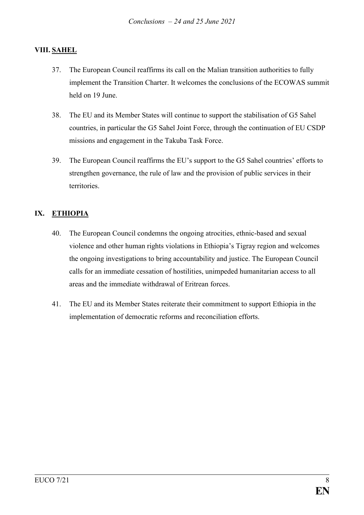# **VIII. SAHEL**

- 37. The European Council reaffirms its call on the Malian transition authorities to fully implement the Transition Charter. It welcomes the conclusions of the ECOWAS summit held on 19 June.
- 38. The EU and its Member States will continue to support the stabilisation of G5 Sahel countries, in particular the G5 Sahel Joint Force, through the continuation of EU CSDP missions and engagement in the Takuba Task Force.
- 39. The European Council reaffirms the EU's support to the G5 Sahel countries' efforts to strengthen governance, the rule of law and the provision of public services in their territories.

# **IX. ETHIOPIA**

- 40. The European Council condemns the ongoing atrocities, ethnic-based and sexual violence and other human rights violations in Ethiopia's Tigray region and welcomes the ongoing investigations to bring accountability and justice. The European Council calls for an immediate cessation of hostilities, unimpeded humanitarian access to all areas and the immediate withdrawal of Eritrean forces.
- 41. The EU and its Member States reiterate their commitment to support Ethiopia in the implementation of democratic reforms and reconciliation efforts.